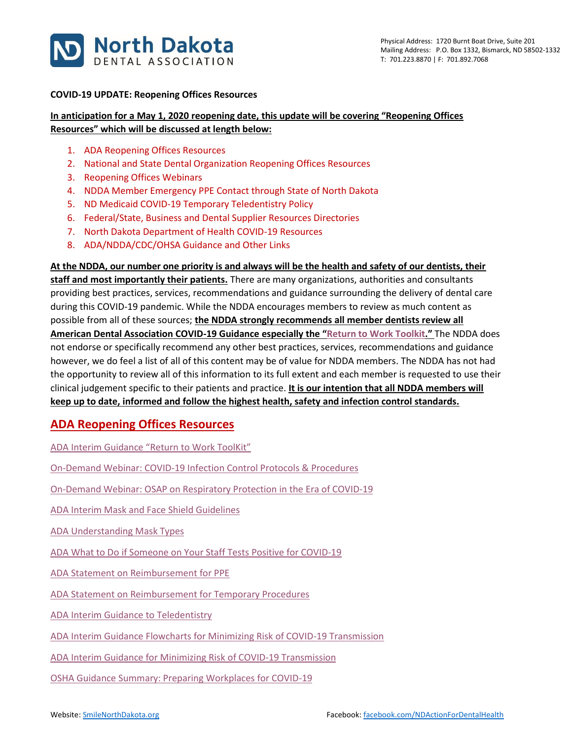

#### **COVID-19 UPDATE: Reopening Offices Resources**

### **In anticipation for a May 1, 2020 reopening date, this update will be covering "Reopening Offices Resources" which will be discussed at length below:**

- 1. ADA Reopening Offices Resources
- 2. National and State Dental Organization Reopening Offices Resources
- 3. Reopening Offices Webinars
- 4. NDDA Member Emergency PPE Contact through State of North Dakota
- 5. ND Medicaid COVID-19 Temporary Teledentistry Policy
- 6. Federal/State, Business and Dental Supplier Resources Directories
- 7. North Dakota Department of Health COVID-19 Resources
- 8. ADA/NDDA/CDC/OHSA Guidance and Other Links

**At the NDDA, our number one priority is and always will be the health and safety of our dentists, their staff and most importantly their patients.** There are many organizations, authorities and consultants providing best practices, services, recommendations and guidance surrounding the delivery of dental care during this COVID-19 pandemic. While the NDDA encourages members to review as much content as possible from all of these sources; **the NDDA strongly recommends all member dentists review all American Dental Association COVID-19 Guidance especially the "[Return to Work Toolkit](https://pages.ada.org/return-to-work-toolkit-american-dental-association)."** The NDDA does not endorse or specifically recommend any other best practices, services, recommendations and guidance however, we do feel a list of all of this content may be of value for NDDA members. The NDDA has not had the opportunity to review all of this information to its full extent and each member is requested to use their clinical judgement specific to their patients and practice. **It is our intention that all NDDA members will keep up to date, informed and follow the highest health, safety and infection control standards.**

# **ADA Reopening Offices Resources**

ADA Interim Guidance ["Return to Work ToolKit"](https://pages.ada.org/return-to-work-toolkit-american-dental-association?utm_campaign=covid-19-Return-to-Work-Toolkit&utm_source=cpsorg-alert-bar&utm_medium=cpsalertbar-virus&utm_content=covid-19-interim-return-to-work)

[On-Demand Webinar: COVID-19 Infection Control Protocols & Procedures](https://ebusiness.ada.org/Education/viewcourse.aspx?id=400)

[On-Demand Webinar: OSAP on Respiratory Protection in the Era of COVID-19](https://success.ada.org/en/practice-management/patients/digital-events/ada-and-osap-respiratory-protection-in-the-era-of-covid-19-webinar?utm_source=adaorg&utm_medium=virus-alertbar&utm_content=cv-safety-osap-webinar-042420&utm_campaign=covid-19)

ADA [Interim Mask and Face Shield Guidelines](https://success.ada.org/~/media/CPS/Files/COVID/ADA_Interim_Mask_and_Face_Shield_Guidelines.pdf)

[ADA Understanding Mask Types](https://success.ada.org/~/media/CPS/Files/COVID/ADA_COVID19_UnderstandingMasks.pdf)

[ADA What to Do if Someone on Your Staff Tests Positive for COVID-19](https://success.ada.org/~/media/CPS/Files/COVID/A_Positive_COVID-19_Test_Result_On_Your_Staff.pdf)

[ADA Statement on Reimbursement for PPE](https://success.ada.org/~/media/CPS/Files/COVID/ADA_Third_Party_Payer_Reimbursement_for_PPE.pdf?utm_source=cpsorg&utm_medium=covid-main-lp-pm&utm_content=cv-pm-tpp-ppe&utm_campaign=covid-19)

[ADA Statement on Reimbursement for Temporary Procedures](https://success.ada.org/~/media/CPS/Files/COVID/ADA_Third_Party_Payer_Reimbursement_for_Temporary_Procedures.pdf?utm_source=cpsorg&utm_medium=covid-main-lp-pm&utm_content=cv-pm-tpp-temp-procedures&utm_campaign=covid-19)

[ADA Interim Guidance to Teledentistry](https://success.ada.org/~/media/CPS/Files/COVID/ADA_COVID_Coding_and_Billing_Guidance.pdf?_ga=2.97948636.2132421290.1584909044-247932367.1547599179)

ADA [Interim Guidance Flowcharts for Minimizing Risk of COVID-19 Transmission](https://www.ada.org/~/media/CPS/Files/COVID/ADA_COVID_Int_Guidance_Treat_Pts.pdf?utm_source=adaorg&utm_medium=covid-resources-lp&utm_content=cv-pm-ebd-interim-response&utm_campaign=covid-19)

[ADA Interim Guidance for Minimizing Risk of COVID-19 Transmission](https://www.ada.org/~/media/CPS/Files/COVID/ADA_Int_Guidance_Mgmt_Emerg-Urg_Dental_COVID19.pdf?utm_source=adaorg&utm_medium=covid-resources-lp&utm_content=cv-pm-ebd-interim-flowchart&utm_campaign=covid-19)

[OSHA Guidance Summary: Preparing Workplaces for COVID-19](https://success.ada.org/~/media/CPS/Files/COVID/OSHA_Guidance_on_Preparing_Workplaces_for_COVID-19.pdf?utm_source=adaorg&utm_medium=covid-resources-lp&utm_content=cv-safety-osha&utm_campaign=covid-19)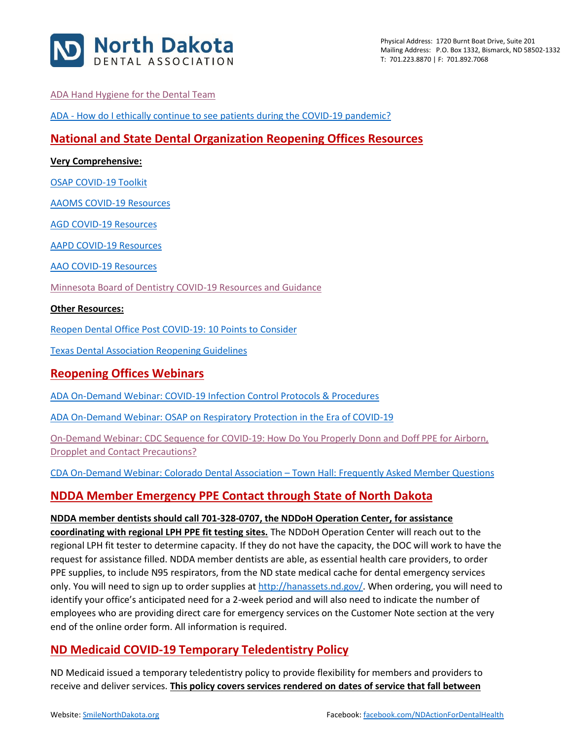

### [ADA Hand Hygiene for the Dental Team](https://success.ada.org/en/practice-management/dental-practice-success/dps-spring-2020/hand-hygiene-for-the-dental-team?utm_source=adaorg&utm_medium=covid-resources-lp&utm_content=hand-hygiene&utm_campaign=covid-19)

ADA - [How do I ethically continue to see patients during the COVID-19 pandemic?](https://www.ada.org/~/media/CPS/Files/COVID/ADA_COVID_How_Do_I_Ethically_See_Patients_During_Pandemic.pdf)

## **National and State Dental Organization Reopening Offices Resources**

### **Very Comprehensive:**

[OSAP COVID-19 Toolkit](https://www.osap.org/page/COVID-19)

AAOMS [COVID-19 Resources](https://www.aaoms.org/practice-resources/covid-19-updates)

AGD [COVID-19 Resources](https://www.agd.org/coronavirus)

AAPD [COVID-19 Resources](https://www.aapd.org/about/about-aapd/news-room/covid-19/)

[AAO COVID-19 Resources](https://www1.aaoinfo.org/covid-19/)

[Minnesota Board of Dentistry COVID-19 Resources and Guidance](https://mn.gov/boards/dentistry/current-licensee/resources/covid19/)

#### **Other Resources:**

[Reopen Dental Office Post COVID-19: 10 Points to Consider](https://www.smilenorthdakota.org/docs/librariesprovider39/north-dakota/reopen-dental-office-post-covid-19-10-points-to-consider.pdf?sfvrsn=2)

[Texas Dental Association Reopening Guidelines](https://www.tda.org/Portals/0/COVID/TDA%20Final%20Guidelines%20Reopening%20Dental%20Offices_April%2021_2020.pdf?ver=2020-04-26-155158-407)

### **Reopening Offices Webinars**

[ADA On-Demand Webinar: COVID-19 Infection Control Protocols & Procedures](https://ebusiness.ada.org/Education/viewcourse.aspx?id=400)

[ADA On-Demand Webinar: OSAP on Respiratory Protection in the Era of COVID-19](https://success.ada.org/en/practice-management/patients/digital-events/ada-and-osap-respiratory-protection-in-the-era-of-covid-19-webinar?utm_source=adaorg&utm_medium=virus-alertbar&utm_content=cv-safety-osap-webinar-042420&utm_campaign=covid-19)

On-Demand Webinar: [CDC Sequence for COVID-19: How Do You Properly Donn and Doff PPE for Airborn,](https://www.vumedi.com/video/ppe-donning-and-doffing-cdc-sequence-for-covid-19/)  [Dropplet and Contact Precautions?](https://www.vumedi.com/video/ppe-donning-and-doffing-cdc-sequence-for-covid-19/)

[CDA On-Demand Webinar: Colorado Dental Association](https://vimeo.com/409980125?ref=em-share) – Town Hall: Frequently Asked Member Questions

# **NDDA Member Emergency PPE Contact through State of North Dakota**

**NDDA member dentists should call 701-328-0707, the NDDoH Operation Center, for assistance coordinating with regional LPH PPE fit testing sites.** The NDDoH Operation Center will reach out to the regional LPH fit tester to determine capacity. If they do not have the capacity, the DOC will work to have the request for assistance filled. NDDA member dentists are able, as essential health care providers, to order PPE supplies, to include N95 respirators, from the ND state medical cache for dental emergency services only. You will need to sign up to order supplies a[t http://hanassets.nd.gov/.](http://hanassets.nd.gov/) When ordering, you will need to identify your office's anticipated need for a 2-week period and will also need to indicate the number of employees who are providing direct care for emergency services on the Customer Note section at the very end of the online order form. All information is required.

# **ND Medicaid COVID-19 Temporary Teledentistry Policy**

ND Medicaid issued a temporary teledentistry policy to provide flexibility for members and providers to receive and deliver services. **This policy covers services rendered on dates of service that fall between**